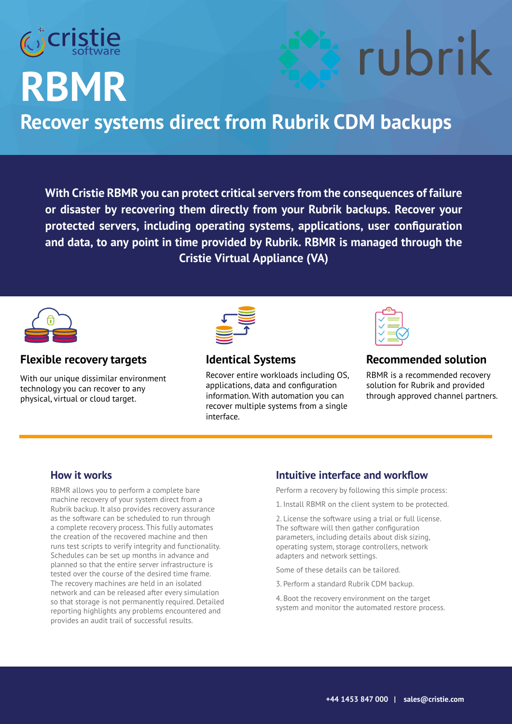

## **RBMR**

### **Recover systems direct from Rubrik CDM backups**

**With Cristie RBMR you can protect critical servers from the consequences of failure or disaster by recovering them directly from your Rubrik backups. Recover your protected servers, including operating systems, applications, user configuration and data, to any point in time provided by Rubrik. RBMR is managed through the Cristie Virtual Appliance (VA)**



#### **Flexible recovery targets**

With our unique dissimilar environment technology you can recover to any physical, virtual or cloud target.



#### **Identical Systems**

Recover entire workloads including OS, applications, data and configuration information. With automation you can recover multiple systems from a single interface.



#### **Recommended solution**

rubrik

RBMR is a recommended recovery solution for Rubrik and provided through approved channel partners.

#### **How it works**

RBMR allows you to perform a complete bare machine recovery of your system direct from a Rubrik backup. It also provides recovery assurance as the software can be scheduled to run through a complete recovery process. This fully automates the creation of the recovered machine and then runs test scripts to verify integrity and functionality. Schedules can be set up months in advance and planned so that the entire server infrastructure is tested over the course of the desired time frame. The recovery machines are held in an isolated network and can be released after every simulation so that storage is not permanently required. Detailed reporting highlights any problems encountered and provides an audit trail of successful results.

#### **Intuitive interface and workflow**

Perform a recovery by following this simple process:

1. Install RBMR on the client system to be protected.

2. License the software using a trial or full license. The software will then gather configuration parameters, including details about disk sizing, operating system, storage controllers, network adapters and network settings.

Some of these details can be tailored.

3. Perform a standard Rubrik CDM backup.

4. Boot the recovery environment on the target system and monitor the automated restore process.